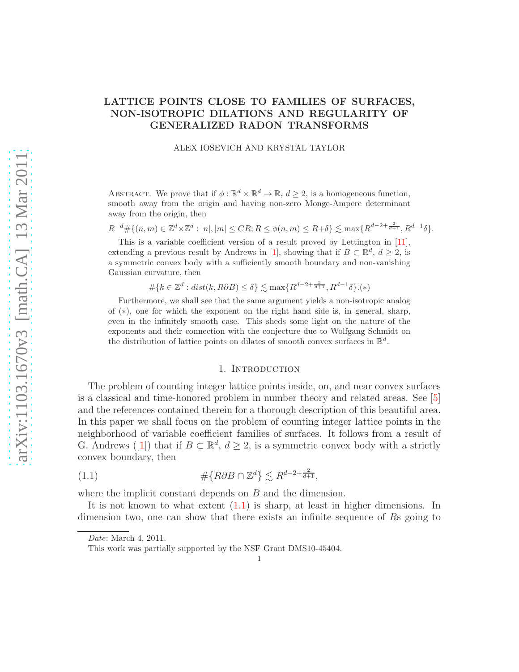## <span id="page-0-1"></span>LATTICE POINTS CLOSE TO FAMILIES OF SURFACES, NON-ISOTROPIC DILATIONS AND REGULARITY OF GENERALIZED RADON TRANSFORMS

ALEX IOSEVICH AND KRYSTAL TAYLOR

ABSTRACT. We prove that if  $\phi : \mathbb{R}^d \times \mathbb{R}^d \to \mathbb{R}$ ,  $d \geq 2$ , is a homogeneous function, smooth away from the origin and having non-zero Monge-Ampere determinant away from the origin, then

 $R^{-d} \# \{ (n,m) \in \mathbb{Z}^d \times \mathbb{Z}^d : |n|, |m| \leq CR; R \leq \phi(n,m) \leq R + \delta \} \lesssim \max \{ R^{d-2+\frac{2}{d+1}}, R^{d-1} \delta \}.$ 

This is a variable coefficient version of a result proved by Lettington in [\[11\]](#page-18-0), extending a previous result by Andrews in [\[1\]](#page-18-1), showing that if  $B \subset \mathbb{R}^d$ ,  $d \geq 2$ , is a symmetric convex body with a sufficiently smooth boundary and non-vanishing Gaussian curvature, then

$$
\#\{k \in \mathbb{Z}^d : dist(k, R\partial B) \le \delta\} \lesssim \max\{R^{d-2+\frac{2}{d+1}}, R^{d-1}\delta\}.\langle *)
$$

Furthermore, we shall see that the same argument yields a non-isotropic analog of (∗), one for which the exponent on the right hand side is, in general, sharp, even in the infinitely smooth case. This sheds some light on the nature of the exponents and their connection with the conjecture due to Wolfgang Schmidt on the distribution of lattice points on dilates of smooth convex surfaces in  $\mathbb{R}^d$ .

### <span id="page-0-0"></span>1. INTRODUCTION

The problem of counting integer lattice points inside, on, and near convex surfaces is a classical and time-honored problem in number theory and related areas. See [\[5\]](#page-18-2) and the references contained therein for a thorough description of this beautiful area. In this paper we shall focus on the problem of counting integer lattice points in the neighborhood of variable coefficient families of surfaces. It follows from a result of G.Andrews ([\[1\]](#page-18-1)) that if  $B \subset \mathbb{R}^d$ ,  $d \geq 2$ , is a symmetric convex body with a strictly convex boundary, then

$$
\# \{R\partial B \cap \mathbb{Z}^d\} \lesssim R^{d-2+\frac{2}{d+1}},
$$

where the implicit constant depends on B and the dimension.

It is not known to what extent [\(1.1\)](#page-0-0) is sharp, at least in higher dimensions. In dimension two, one can show that there exists an infinite sequence of Rs going to

Date: March 4, 2011.

This work was partially supported by the NSF Grant DMS10-45404.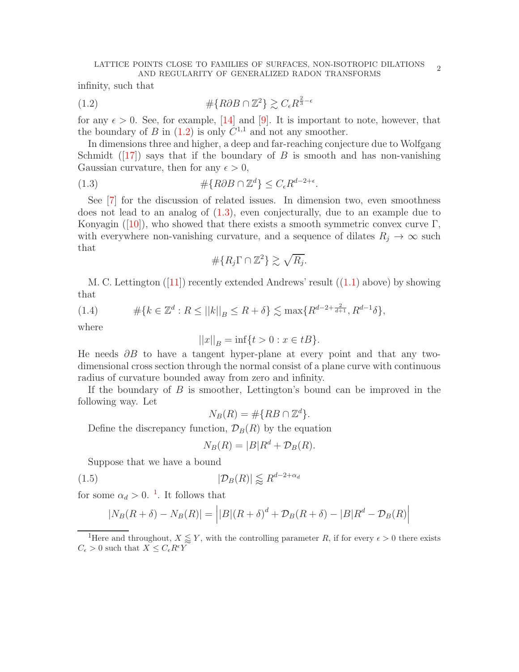<span id="page-1-5"></span>infinity, such that

<span id="page-1-0"></span>
$$
\# \{R\partial B \cap \mathbb{Z}^2\} \gtrsim C_{\epsilon} R^{\frac{2}{3} - \epsilon}
$$

for any  $\epsilon > 0$ . See, for example, [\[14\]](#page-18-3) and [\[9\]](#page-18-4). It is important to note, however, that the boundary of B in  $(1.2)$  is only  $C^{1,1}$  and not any smoother.

In dimensions three and higher, a deep and far-reaching conjecture due to Wolfgang Schmidt([\[17\]](#page-18-5)) says that if the boundary of B is smooth and has non-vanishing Gaussian curvature, then for any  $\epsilon > 0$ ,

(1.3) 
$$
\#\{R\partial B \cap \mathbb{Z}^d\} \leq C_{\epsilon} R^{d-2+\epsilon}.
$$

See [\[7\]](#page-18-6) for the discussion of related issues. In dimension two, even smoothness does not lead to an analog of [\(1.3\)](#page-1-1), even conjecturally, due to an example due to Konyagin([\[10\]](#page-18-7)), who showed that there exists a smooth symmetric convex curve  $\Gamma$ , with everywhere non-vanishing curvature, and a sequence of dilates  $R_j \to \infty$  such that

<span id="page-1-1"></span>
$$
\#\{R_j\Gamma\cap\mathbb{Z}^2\}\gtrsim\sqrt{R_j}.
$$

M.C. Lettington  $([11])$  $([11])$  $([11])$  recently extended Andrews' result  $((1.1)$  $((1.1)$  above) by showing that

<span id="page-1-3"></span>(1.4) 
$$
\#\{k \in \mathbb{Z}^d : R \le ||k||_B \le R + \delta\} \lesssim \max\{R^{d-2+\frac{2}{d+1}}, R^{d-1}\delta\},
$$

where

$$
||x||_B = \inf\{t > 0 : x \in tB\}.
$$

He needs  $\partial B$  to have a tangent hyper-plane at every point and that any twodimensional cross section through the normal consist of a plane curve with continuous radius of curvature bounded away from zero and infinity.

If the boundary of  $B$  is smoother, Lettington's bound can be improved in the following way. Let

 $N_B(R) = \#\{RB \cap \mathbb{Z}^d\}.$ 

Define the discrepancy function,  $\mathcal{D}_B(R)$  by the equation

<span id="page-1-4"></span>
$$
N_B(R) = |B|R^d + \mathcal{D}_B(R).
$$

Suppose that we have a bound

$$
(1.5) \t\t |\mathcal{D}_B(R)| \lessapprox R^{d-2+\alpha_d}
$$

for some  $\alpha_d > 0$ .<sup>[1](#page-1-2)</sup>. It follows that

$$
|N_B(R+\delta) - N_B(R)| = |B|(R+\delta)^d + \mathcal{D}_B(R+\delta) - |B|R^d - \mathcal{D}_B(R)|
$$

<span id="page-1-2"></span><sup>1</sup>Here and throughout,  $X \leq Y$ , with the controlling parameter R, if for every  $\epsilon > 0$  there exists  $C_\epsilon>0$  such that  $X\leq C_\epsilon R^\epsilon Y$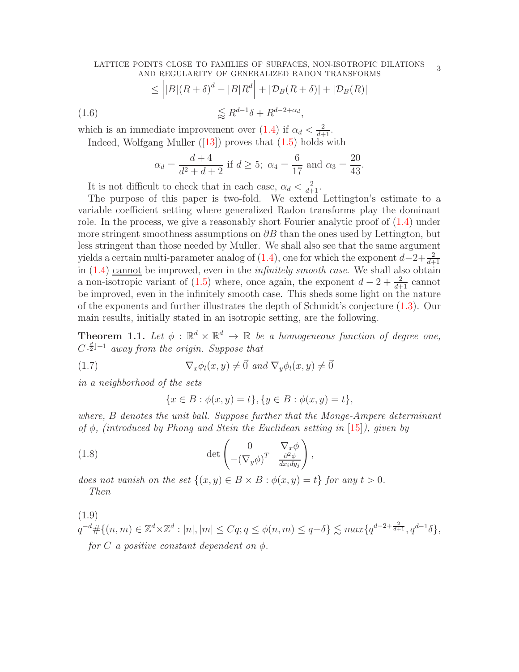#### <span id="page-2-4"></span>LATTICE POINTS CLOSE TO FAMILIES OF SURFACES, NON-ISOTROPIC DILATIONS TOINTS CLOSE TO FAMILIES OF SURFACES, NON-ISOTROPIC DILATIONS 3<br>AND REGULARITY OF GENERALIZED RADON TRANSFORMS

$$
\leq \left| |B|(R+\delta)^d - |B|R^d| + |\mathcal{D}_B(R+\delta)| + |\mathcal{D}_B(R)| \right|
$$
  
(1.6)  

$$
\lesssim R^{d-1}\delta + R^{d-2+\alpha_d},
$$

which is an immediate improvement over  $(1.4)$  if  $\alpha_d < \frac{2}{d+1}$ .

Indeed,Wolfgang Muller  $(13)$  proves that  $(1.5)$  holds with

$$
\alpha_d = \frac{d+4}{d^2+d+2}
$$
 if  $d \ge 5$ ;  $\alpha_4 = \frac{6}{17}$  and  $\alpha_3 = \frac{20}{43}$ 

It is not difficult to check that in each case,  $\alpha_d < \frac{2}{d+1}$ .

The purpose of this paper is two-fold. We extend Lettington's estimate to a variable coefficient setting where generalized Radon transforms play the dominant role. In the process, we give a reasonably short Fourier analytic proof of [\(1.4\)](#page-1-3) under more stringent smoothness assumptions on  $\partial B$  than the ones used by Lettington, but less stringent than those needed by Muller. We shall also see that the same argument yields a certain multi-parameter analog of  $(1.4)$ , one for which the exponent  $d-2+\frac{2}{d+1}$ in [\(1.4\)](#page-1-3) cannot be improved, even in the infinitely smooth case. We shall also obtain a non-isotropic variant of [\(1.5\)](#page-1-4) where, once again, the exponent  $d-2+\frac{2}{d+1}$  cannot be improved, even in the infinitely smooth case. This sheds some light on the nature of the exponents and further illustrates the depth of Schmidt's conjecture [\(1.3\)](#page-1-1). Our main results, initially stated in an isotropic setting, are the following.

<span id="page-2-0"></span>**Theorem 1.1.** Let  $\phi$ :  $\mathbb{R}^d \times \mathbb{R}^d \to \mathbb{R}$  be a homogeneous function of degree one,  $C^{\lfloor \frac{d}{2} \rfloor + 1}$  away from the origin. Suppose that

(1.7) 
$$
\nabla_x \phi_l(x, y) \neq \vec{0} \text{ and } \nabla_y \phi_l(x, y) \neq \vec{0}
$$

in a neighborhood of the sets

<span id="page-2-3"></span><span id="page-2-1"></span>
$$
\{x \in B : \phi(x, y) = t\}, \{y \in B : \phi(x, y) = t\},\
$$

where, B denotes the unit ball. Suppose further that the Monge-Ampere determinant of  $\phi$ , (introduced by Phong and Stein the Euclidean setting in [\[15\]](#page-18-9)), given by

,

(1.8) 
$$
\det \begin{pmatrix} 0 & \nabla_x \phi \\ -(\nabla_y \phi)^T & \frac{\partial^2 \phi}{dx_i dy_j} \end{pmatrix}
$$

does not vanish on the set  $\{(x, y) \in B \times B : \phi(x, y) = t\}$  for any  $t > 0$ . Then

<span id="page-2-2"></span>(1.9)  
\n
$$
q^{-d} \# \{(n, m) \in \mathbb{Z}^d \times \mathbb{Z}^d : |n|, |m| \le Cq; q \le \phi(n, m) \le q + \delta \} \lesssim max\{q^{d-2 + \frac{2}{d+1}}, q^{d-1}\delta\},
$$
  
\nfor C a positive constant dependent on  $\phi$ .

.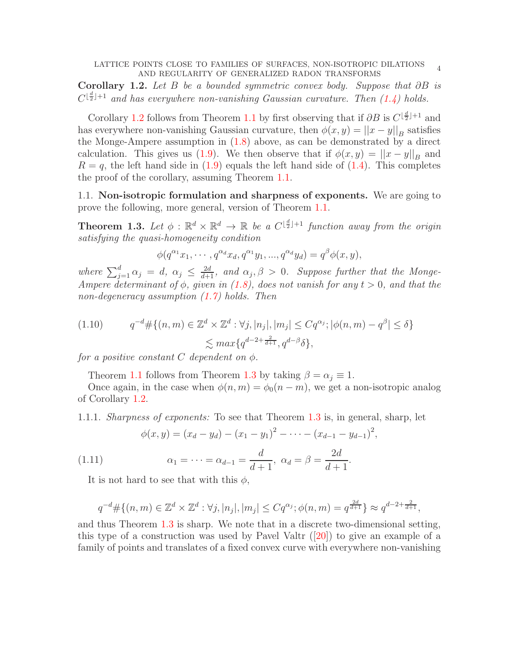<span id="page-3-2"></span><span id="page-3-0"></span>Corollary 1.2. Let B be a bounded symmetric convex body. Suppose that  $\partial B$  is  $C^{\lfloor \frac{d}{2} \rfloor + 1}$  and has everywhere non-vanishing Gaussian curvature. Then  $(1.4)$  holds.

Corollary [1.2](#page-3-0) follows from Theorem [1.1](#page-2-0) by first observing that if  $\partial B$  is  $C^{\lfloor \frac{d}{2} \rfloor + 1}$  and has everywhere non-vanishing Gaussian curvature, then  $\phi(x, y) = ||x - y||_B$  satisfies the Monge-Ampere assumption in [\(1.8\)](#page-2-1) above, as can be demonstrated by a direct calculation. This gives us [\(1.9\)](#page-2-2). We then observe that if  $\phi(x, y) = ||x - y||_B$  and  $R = q$ , the left hand side in [\(1.9\)](#page-2-2) equals the left hand side of [\(1.4\)](#page-1-3). This completes the proof of the corollary, assuming Theorem [1.1.](#page-2-0)

1.1. Non-isotropic formulation and sharpness of exponents. We are going to prove the following, more general, version of Theorem [1.1.](#page-2-0)

<span id="page-3-1"></span>**Theorem 1.3.** Let  $\phi : \mathbb{R}^d \times \mathbb{R}^d \to \mathbb{R}$  be a  $C^{\lfloor \frac{d}{2} \rfloor + 1}$  function away from the origin satisfying the quasi-homogeneity condition

$$
\phi(q^{\alpha_1}x_1, \cdots, q^{\alpha_d}x_d, q^{\alpha_1}y_1, ..., q^{\alpha_d}y_d) = q^{\beta}\phi(x, y),
$$

where  $\sum_{j=1}^d \alpha_j = d$ ,  $\alpha_j \leq \frac{2d}{d+1}$ , and  $\alpha_j$ ,  $\beta > 0$ . Suppose further that the Monge-Ampere determinant of  $\phi$ , given in [\(1.8\)](#page-2-1), does not vanish for any  $t > 0$ , and that the non-degeneracy assumption  $(1.7)$  holds. Then

(1.10) 
$$
q^{-d} \# \{(n, m) \in \mathbb{Z}^d \times \mathbb{Z}^d : \forall j, |n_j|, |m_j| \le C q^{\alpha_j}; |\phi(n, m) - q^{\beta}| \le \delta \} \le max \{ q^{d-2 + \frac{2}{d+1}}, q^{d-\beta} \delta \},
$$

for a positive constant C dependent on  $\phi$ .

Theorem [1.1](#page-2-0) follows from Theorem [1.3](#page-3-1) by taking  $\beta = \alpha_i \equiv 1$ .

Once again, in the case when  $\phi(n,m) = \phi_0(n-m)$ , we get a non-isotropic analog of Corollary [1.2.](#page-3-0)

1.1.1. Sharpness of exponents: To see that Theorem [1.3](#page-3-1) is, in general, sharp, let

$$
\phi(x,y) = (x_d - y_d) - (x_1 - y_1)^2 - \dots - (x_{d-1} - y_{d-1})^2,
$$

(1.11) 
$$
\alpha_1 = \dots = \alpha_{d-1} = \frac{d}{d+1}, \ \alpha_d = \beta = \frac{2d}{d+1}.
$$

It is not hard to see that with this  $\phi$ ,

$$
q^{-d} \# \{ (n,m) \in \mathbb{Z}^d \times \mathbb{Z}^d : \forall j, |n_j|, |m_j| \le C q^{\alpha_j}; \phi(n,m) = q^{\frac{2d}{d+1}} \} \approx q^{d-2+\frac{2}{d+1}},
$$

and thus Theorem [1.3](#page-3-1) is sharp. We note that in a discrete two-dimensional setting, thistype of a construction was used by Pavel Valtr  $([20])$  $([20])$  $([20])$  to give an example of a family of points and translates of a fixed convex curve with everywhere non-vanishing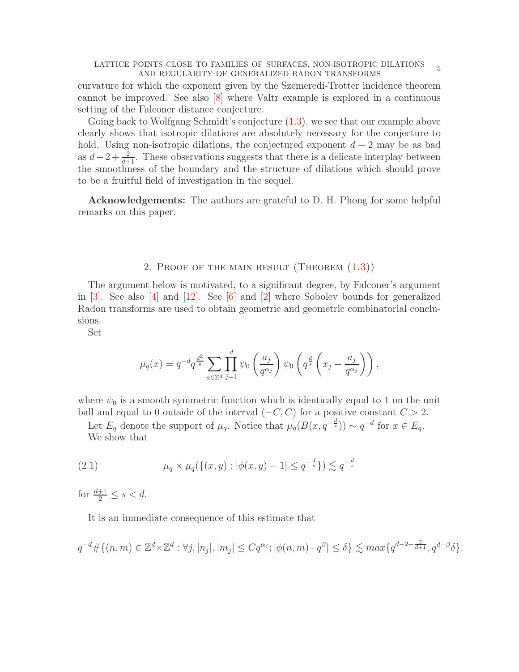<span id="page-4-1"></span>curvature for which the exponent given by the Szemeredi-Trotter incidence theorem cannot be improved. See also [\[8\]](#page-18-11) where Valtr example is explored in a continuous setting of the Falconer distance conjecture.

Going back to Wolfgang Schmidt's conjecture [\(1.3\)](#page-1-1), we see that our example above clearly shows that isotropic dilations are absolutely necessary for the conjecture to hold. Using non-isotropic dilations, the conjectured exponent  $d-2$  may be as bad as  $d-2+\frac{2}{d+1}$ . These observations suggests that there is a delicate interplay between the smoothness of the boundary and the structure of dilations which should prove to be a fruitful field of investigation in the sequel.

Acknowledgements: The authors are grateful to D. H. Phong for some helpful remarks on this paper.

### 2. PROOF OF THE MAIN RESULT (THEOREM  $(1.3)$ )

The argument below is motivated, to a significant degree, by Falconer's argument in  $[3]$ . See also  $[4]$  and  $[12]$ . See  $[6]$  and  $[2]$  where Sobolev bounds for generalized Radon transforms are used to obtain geometric and geometric combinatorial conclusions.

Set

$$
\mu_q(x) = q^{-d} q^{\frac{d^2}{s}} \sum_{a \in \mathbb{Z}^d} \prod_{j=1}^d \psi_0 \left( \frac{a_j}{q^{\alpha_j}} \right) \psi_0 \left( q^{\frac{d}{s}} \left( x_j - \frac{a_j}{q^{\alpha_j}} \right) \right),
$$

where  $\psi_0$  is a smooth symmetric function which is identically equal to 1 on the unit ball and equal to 0 outside of the interval  $(-C, C)$  for a positive constant  $C > 2$ .

Let  $E_q$  denote the support of  $\mu_q$ . Notice that  $\mu_q(B(x, q^{-\frac{d}{s}})) \sim q^{-d}$  for  $x \in E_q$ . We show that

<span id="page-4-0"></span>(2.1) 
$$
\mu_q \times \mu_q(\{(x, y) : |\phi(x, y) - 1| \le q^{-\frac{d}{s}}\}) \lesssim q^{-\frac{d}{s}}
$$

for  $\frac{d+1}{2} \leq s < d$ .

It is an immediate consequence of this estimate that

$$
q^{-d} \# \{(n,m) \in \mathbb{Z}^d \times \mathbb{Z}^d : \forall j, |n_j|, |m_j| \le C q^{\alpha_j}; |\phi(n,m) - q^{\beta}| \le \delta \} \lesssim \max\{q^{d-2+\frac{2}{d+1}}, q^{d-\beta}\delta\}.
$$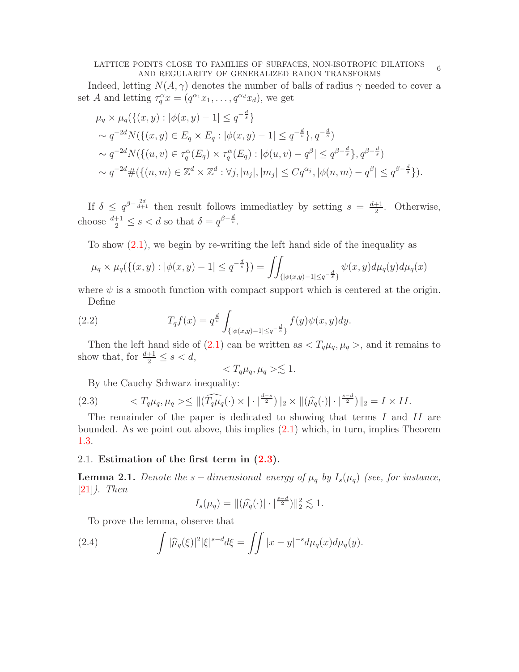#### <span id="page-5-4"></span>LATTICE POINTS CLOSE TO FAMILIES OF SURFACES, NON-ISOTROPIC DILATIONS OINTS CLOSE TO FAMILIES OF SURFACES, NON-ISOTROPIC DILATIONS 6

Indeed, letting  $N(A, \gamma)$  denotes the number of balls of radius  $\gamma$  needed to cover a set A and letting  $\tau_q^{\alpha} x = (q^{\alpha_1} x_1, \dots, q^{\alpha_d} x_d)$ , we get

$$
\mu_q \times \mu_q(\{(x, y) : |\phi(x, y) - 1| \le q^{-\frac{d}{s}}\}\n\sim q^{-2d} N(\{(x, y) \in E_q \times E_q : |\phi(x, y) - 1| \le q^{-\frac{d}{s}}\}, q^{-\frac{d}{s}})\n\sim q^{-2d} N(\{(u, v) \in \tau_q^{\alpha}(E_q) \times \tau_q^{\alpha}(E_q) : |\phi(u, v) - q^{\beta}| \le q^{\beta - \frac{d}{s}}\}, q^{\beta - \frac{d}{s}})\n\sim q^{-2d} \#(\{(n, m) \in \mathbb{Z}^d \times \mathbb{Z}^d : \forall j, |n_j|, |m_j| \le Cq^{\alpha_j}, |\phi(n, m) - q^{\beta}| \le q^{\beta - \frac{d}{s}}\}).
$$

If  $\delta \leq q^{\beta - \frac{2d}{d+1}}$  then result follows immediatley by setting  $s = \frac{d+1}{2}$  $\frac{+1}{2}$ . Otherwise, choose  $\frac{d+1}{2} \leq s < d$  so that  $\delta = q^{\beta - \frac{d}{s}}$ .

To show  $(2.1)$ , we begin by re-writing the left hand side of the inequality as

$$
\mu_q \times \mu_q(\{(x,y) : |\phi(x,y) - 1| \le q^{-\frac{d}{s}}\}) = \iint_{\{|\phi(x,y) - 1| \le q^{-\frac{d}{s}}\}} \psi(x,y) d\mu_q(y) d\mu_q(x)
$$

where  $\psi$  is a smooth function with compact support which is centered at the origin. Define

(2.2) 
$$
T_q f(x) = q^{\frac{d}{s}} \int_{\{|\phi(x,y)-1| \le q^{-\frac{d}{s}}\}} f(y) \psi(x,y) dy.
$$

Then the left hand side of [\(2.1\)](#page-4-0) can be written as  $\langle T_q \mu_q, \mu_q \rangle$ , and it remains to show that, for  $\frac{d+1}{2} \leq s < d$ ,

<span id="page-5-3"></span>
$$
\langle T_q \mu_q, \mu_q \rangle \lesssim 1.
$$

<span id="page-5-0"></span>By the Cauchy Schwarz inequality:

(2.3) 
$$
\langle T_q \mu_q, \mu_q \rangle \leq \|(\widehat{T_q \mu_q}(\cdot) \times | \cdot |^{\frac{d-s}{2}})\|_2 \times \|(\widehat{\mu_q}(\cdot) | \cdot |^{\frac{s-d}{2}})\|_2 = I \times II.
$$

The remainder of the paper is dedicated to showing that terms I and II are bounded. As we point out above, this implies [\(2.1\)](#page-4-0) which, in turn, implies Theorem [1.3.](#page-3-1)

## 2.1. Estimation of the first term in  $(2.3)$ .

<span id="page-5-2"></span>**Lemma 2.1.** Denote the s – dimensional energy of  $\mu_q$  by  $I_s(\mu_q)$  (see, for instance,  $[21]$ ). Then

<span id="page-5-1"></span>
$$
I_s(\mu_q) = \|(\widehat{\mu_q}(\cdot)| \cdot|^{\frac{s-d}{2}})\|_2^2 \lesssim 1.
$$

To prove the lemma, observe that

(2.4) 
$$
\int |\widehat{\mu}_q(\xi)|^2 |\xi|^{s-d} d\xi = \iint |x-y|^{-s} d\mu_q(x) d\mu_q(y).
$$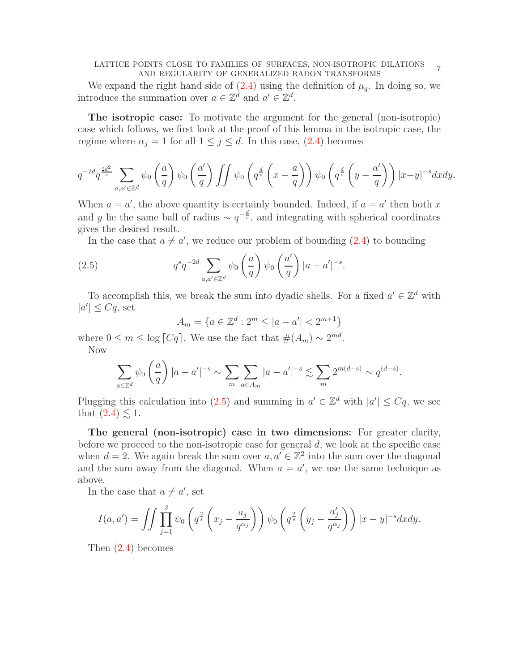#### LATTICE POINTS CLOSE TO FAMILIES OF SURFACES, NON-ISOTROPIC DILATIONS OINTS CLOSE TO FAMILIES OF SURFACES, NON-ISOTROPIC DILATIONS 7<br>AND REGULARITY OF GENERALIZED RADON TRANSFORMS

We expand the right hand side of  $(2.4)$  using the definition of  $\mu_q$ . In doing so, we introduce the summation over  $a \in \mathbb{Z}^d$  and  $a' \in \mathbb{Z}^d$ .

The isotropic case: To motivate the argument for the general (non-isotropic) case which follows, we first look at the proof of this lemma in the isotropic case, the regime where  $\alpha_j = 1$  for all  $1 \leq j \leq d$ . In this case, [\(2.4\)](#page-5-1) becomes

$$
q^{-2d}q^{\frac{2d^2}{s}}\sum_{a,a'\in\mathbb{Z}^d}\psi_0\left(\frac{a}{q}\right)\psi_0\left(\frac{a'}{q}\right)\iint\psi_0\left(q^{\frac{d}{s}}\left(x-\frac{a}{q}\right)\right)\psi_0\left(q^{\frac{d}{s}}\left(y-\frac{a'}{q}\right)\right)|x-y|^{-s}dxdy.
$$

When  $a = a'$ , the above quantity is certainly bounded. Indeed, if  $a = a'$  then both x and y lie the same ball of radius  $\sim q^{-\frac{d}{s}}$ , and integrating with spherical coordinates gives the desired result.

In the case that  $a \neq a'$ , we reduce our problem of bounding  $(2.4)$  to bounding

(2.5) 
$$
q^s q^{-2d} \sum_{a,a' \in \mathbb{Z}^d} \psi_0 \left(\frac{a}{q}\right) \psi_0 \left(\frac{a'}{q}\right) |a-a'|^{-s}.
$$

To accomplish this, we break the sum into dyadic shells. For a fixed  $a' \in \mathbb{Z}^d$  with  $|a'|\leq Cq$ , set

<span id="page-6-0"></span>
$$
A_m = \{ a \in \mathbb{Z}^d : 2^m \le |a - a'| < 2^{m+1} \}
$$

where  $0 \leq m \leq \log |Cq|$ . We use the fact that  $\#(A_m) \sim 2^{md}$ . Now

$$
\sum_{a\in\mathbb{Z}^d}\psi_0\left(\frac{a}{q}\right)|a-a'|^{-s}\sim\sum_m\sum_{a\in A_m}|a-a'|^{-s}\lesssim\sum_m 2^{m(d-s)}\sim q^{(d-s)}.
$$

Plugging this calculation into [\(2.5\)](#page-6-0) and summing in  $a' \in \mathbb{Z}^d$  with  $|a'| \leq Cq$ , we see that  $(2.4) \leq 1$ .

The general (non-isotropic) case in two dimensions: For greater clarity, before we proceed to the non-isotropic case for general  $d$ , we look at the specific case when  $d = 2$ . We again break the sum over  $a, a' \in \mathbb{Z}^2$  into the sum over the diagonal and the sum away from the diagonal. When  $a = a'$ , we use the same technique as above.

In the case that  $a \neq a'$ , set

$$
I(a, a') = \iint \prod_{j=1}^{2} \psi_0 \left( q^{\frac{2}{s}} \left( x_j - \frac{a_j}{q^{\alpha_j}} \right) \right) \psi_0 \left( q^{\frac{2}{s}} \left( y_j - \frac{a'_j}{q^{\alpha_j}} \right) \right) |x - y|^{-s} dx dy.
$$

Then [\(2.4\)](#page-5-1) becomes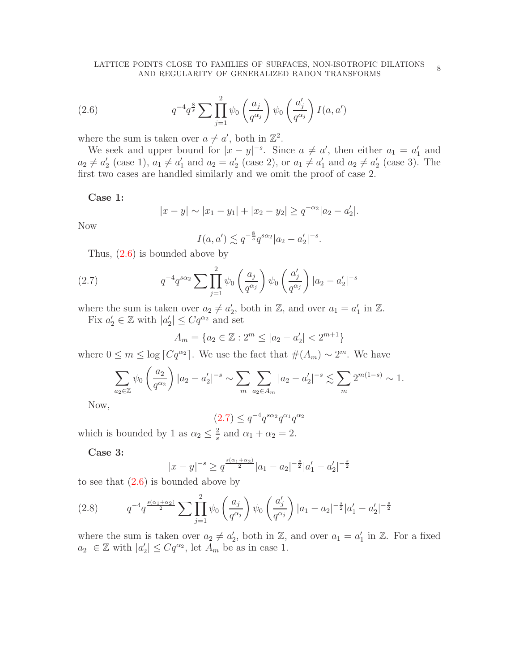<span id="page-7-0"></span>(2.6) 
$$
q^{-4}q^{\frac{8}{s}}\sum \prod_{j=1}^{2}\psi_0\left(\frac{a_j}{q^{\alpha_j}}\right)\psi_0\left(\frac{a'_j}{q^{\alpha_j}}\right)I(a,a')
$$

where the sum is taken over  $a \neq a'$ , both in  $\mathbb{Z}^2$ .

We seek and upper bound for  $|x-y|^{-s}$ . Since  $a \neq a'$ , then either  $a_1 = a'_1$  and  $a_2 \neq a'_2$  (case 1),  $a_1 \neq a'_1$  and  $a_2 = a'_2$  (case 2), or  $a_1 \neq a'_1$  and  $a_2 \neq a'_2$  (case 3). The first two cases are handled similarly and we omit the proof of case 2.

Case 1:

$$
|x-y| \sim |x_1 - y_1| + |x_2 - y_2| \ge q^{-\alpha_2} |a_2 - a_2'|.
$$

Now

<span id="page-7-1"></span>
$$
I(a, a') \lesssim q^{-\frac{8}{s}} q^{s\alpha_2} |a_2 - a'_2|^{-s}.
$$

Thus, [\(2.6\)](#page-7-0) is bounded above by

(2.7) 
$$
q^{-4}q^{s\alpha_2} \sum \prod_{j=1}^2 \psi_0\left(\frac{a_j}{q^{\alpha_j}}\right) \psi_0\left(\frac{a'_j}{q^{\alpha_j}}\right) |a_2 - a'_2|^{-s}
$$

where the sum is taken over  $a_2 \neq a'_2$ , both in Z, and over  $a_1 = a'_1$  in Z. Fix  $a'_2 \in \mathbb{Z}$  with  $|a'_2| \leq Cq^{\alpha_2}$  and set

$$
A_m = \{a_2 \in \mathbb{Z} : 2^m \le |a_2 - a'_2| < 2^{m+1}\}
$$

where  $0 \leq m \leq \log \lceil Cq^{\alpha_2} \rceil$ . We use the fact that  $\#(A_m) \sim 2^m$ . We have

$$
\sum_{a_2 \in \mathbb{Z}} \psi_0 \left( \frac{a_2}{q^{\alpha_2}} \right) |a_2 - a'_2|^{-s} \sim \sum_m \sum_{a_2 \in A_m} |a_2 - a'_2|^{-s} \lesssim \sum_m 2^{m(1-s)} \sim 1.
$$

Now,

$$
(2.7) \le q^{-4} q^{s\alpha_2} q^{\alpha_1} q^{\alpha_2}
$$

which is bounded by 1 as  $\alpha_2 \leq \frac{2}{s}$  $\frac{2}{s}$  and  $\alpha_1 + \alpha_2 = 2$ .

Case 3:

$$
|x-y|^{-s}\geq q^{\frac{s(\alpha_1+\alpha_2)}{2}}|a_1-a_2|^{-\frac{s}{2}}|a_1'-a_2'|^{-\frac{s}{2}}
$$

to see that  $(2.6)$  is bounded above by

<span id="page-7-2"></span>
$$
(2.8) \tq^{-4}q^{\frac{s(\alpha_1+\alpha_2)}{2}}\sum_{j=1}^2 \psi_0\left(\frac{a_j}{q^{\alpha_j}}\right)\psi_0\left(\frac{a_j'}{q^{\alpha_j}}\right)|a_1-a_2|^{-\frac{s}{2}}|a_1'-a_2'|^{-\frac{s}{2}}
$$

where the sum is taken over  $a_2 \neq a'_2$ , both in Z, and over  $a_1 = a'_1$  in Z. For a fixed  $a_2 \in \mathbb{Z}$  with  $|a'_2| \leq Cq^{\alpha_2}$ , let  $A_m$  be as in case 1.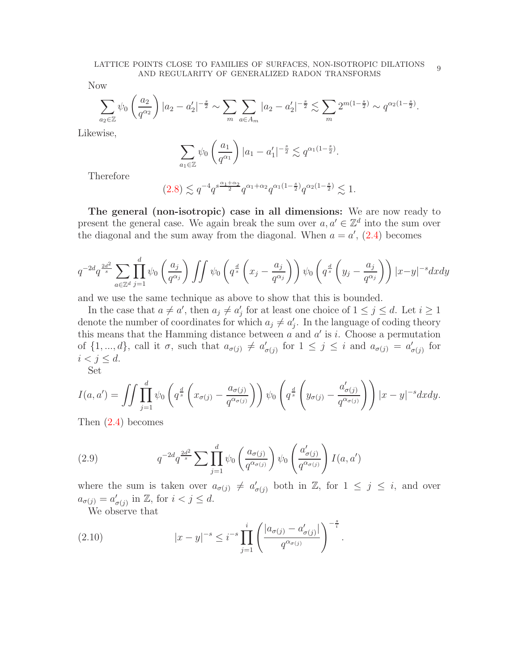Now

$$
\sum_{a_2 \in \mathbb{Z}} \psi_0 \left( \frac{a_2}{q^{\alpha_2}} \right) |a_2 - a'_2|^{-\frac{s}{2}} \sim \sum_m \sum_{a \in A_m} |a_2 - a'_2|^{-\frac{s}{2}} \lesssim \sum_m 2^{m(1-\frac{s}{2})} \sim q^{\alpha_2(1-\frac{s}{2})}.
$$

Likewise,

$$
\sum_{a_1 \in \mathbb{Z}} \psi_0 \left( \frac{a_1}{q^{\alpha_1}} \right) |a_1 - a_1'|^{-\frac{s}{2}} \lesssim q^{\alpha_1(1-\frac{s}{2})}.
$$

Therefore

$$
(2.8) \lesssim q^{-4} q^{s \frac{\alpha_1 + \alpha_2}{2}} q^{\alpha_1 + \alpha_2} q^{\alpha_1 (1 - \frac{s}{2})} q^{\alpha_2 (1 - \frac{s}{2})} \lesssim 1.
$$

The general (non-isotropic) case in all dimensions: We are now ready to present the general case. We again break the sum over  $a, a' \in \mathbb{Z}^d$  into the sum over the diagonal and the sum away from the diagonal. When  $a = a'$ , [\(2.4\)](#page-5-1) becomes

$$
q^{-2d}q^{\frac{2d^2}{s}}\sum_{a\in\mathbb{Z}^d}\prod_{j=1}^d\psi_0\left(\frac{a_j}{q^{\alpha_j}}\right)\iint\psi_0\left(q^{\frac{d}{s}}\left(x_j-\frac{a_j}{q^{\alpha_j}}\right)\right)\psi_0\left(q^{\frac{d}{s}}\left(y_j-\frac{a_j}{q^{\alpha_j}}\right)\right)|x-y|^{-s}dxdy
$$

and we use the same technique as above to show that this is bounded.

In the case that  $a \neq a'$ , then  $a_j \neq a'_j$  for at least one choice of  $1 \leq j \leq d$ . Let  $i \geq 1$ denote the number of coordinates for which  $a_j \neq a'_j$ . In the language of coding theory this means that the Hamming distance between  $a$  and  $a'$  is  $i$ . Choose a permutation of  $\{1, ..., d\}$ , call it  $\sigma$ , such that  $a_{\sigma(j)} \neq a'_{\sigma(j)}$  for  $1 \leq j \leq i$  and  $a_{\sigma(j)} = a'_{\sigma(j)}$  for  $i < j \leq d$ .

Set

$$
I(a, a') = \iint \prod_{j=1}^{d} \psi_0 \left( q^{\frac{d}{s}} \left( x_{\sigma(j)} - \frac{a_{\sigma(j)}}{q^{\alpha_{\sigma(j)}}} \right) \right) \psi_0 \left( q^{\frac{d}{s}} \left( y_{\sigma(j)} - \frac{a'_{\sigma(j)}}{q^{\alpha_{\sigma(j)}}} \right) \right) |x - y|^{-s} dx dy.
$$

Then [\(2.4\)](#page-5-1) becomes

<span id="page-8-1"></span>(2.9) 
$$
q^{-2d}q^{\frac{2d^2}{s}}\sum \prod_{j=1}^d \psi_0\left(\frac{a_{\sigma(j)}}{q^{\alpha_{\sigma(j)}}}\right)\psi_0\left(\frac{a'_{\sigma(j)}}{q^{\alpha_{\sigma(j)}}}\right)I(a,a')
$$

where the sum is taken over  $a_{\sigma(j)} \neq a'_{\sigma(j)}$  both in Z, for  $1 \leq j \leq i$ , and over  $a_{\sigma(j)} = a'_{\sigma(j)}$  in  $\mathbb{Z}$ , for  $i < j \leq d$ .

<span id="page-8-0"></span>We observe that

(2.10) 
$$
|x - y|^{-s} \le i^{-s} \prod_{j=1}^i \left( \frac{|a_{\sigma(j)} - a'_{\sigma(j)}|}{q^{\alpha_{\sigma(j)}}} \right)^{-\frac{s}{i}}.
$$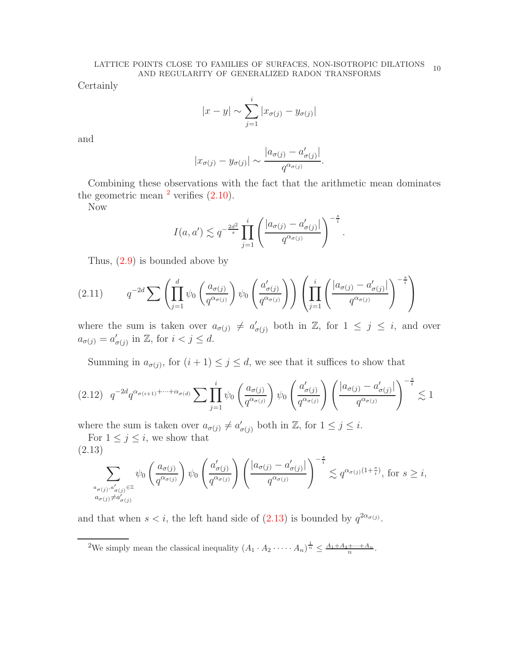Certainly

$$
|x - y| \sim \sum_{j=1}^{i} |x_{\sigma(j)} - y_{\sigma(j)}|
$$

and

$$
|x_{\sigma(j)} - y_{\sigma(j)}| \sim \frac{|a_{\sigma(j)} - a'_{\sigma(j)}|}{q^{\alpha_{\sigma(j)}}}.
$$

Combining these observations with the fact that the arithmetic mean dominates the geometric mean  $^2$  $^2$  verifies  $(2.10)$ .

Now

$$
I(a, a') \lesssim q^{-\frac{2d^2}{s}} \prod_{j=1}^i \left( \frac{|a_{\sigma(j)} - a'_{\sigma(j)}|}{q^{\alpha_{\sigma(j)}}} \right)^{-\frac{s}{i}}.
$$

Thus, [\(2.9\)](#page-8-1) is bounded above by

$$
(2.11) \tq^{-2d} \sum \left( \prod_{j=1}^d \psi_0 \left( \frac{a_{\sigma(j)}}{q^{\alpha_{\sigma(j)}}} \right) \psi_0 \left( \frac{a'_{\sigma(j)}}{q^{\alpha_{\sigma(j)}}} \right) \right) \left( \prod_{j=1}^i \left( \frac{|a_{\sigma(j)} - a'_{\sigma(j)}|}{q^{\alpha_{\sigma(j)}}} \right)^{-\frac{s}{i}} \right)
$$

where the sum is taken over  $a_{\sigma(j)} \neq a'_{\sigma(j)}$  both in Z, for  $1 \leq j \leq i$ , and over  $a_{\sigma(j)} = a'_{\sigma(j)}$  in  $\mathbb{Z}$ , for  $i < j \leq d$ .

Summing in  $a_{\sigma(j)}$ , for  $(i + 1) \leq j \leq d$ , we see that it suffices to show that

<span id="page-9-2"></span>
$$
(2.12) \quad q^{-2d} q^{\alpha_{\sigma(i+1)} + \dots + \alpha_{\sigma(d)}} \sum \prod_{j=1}^{i} \psi_0 \left( \frac{a_{\sigma(j)}}{q^{\alpha_{\sigma(j)}}} \right) \psi_0 \left( \frac{a'_{\sigma(j)}}{q^{\alpha_{\sigma(j)}}} \right) \left( \frac{|a_{\sigma(j)} - a'_{\sigma(j)}|}{q^{\alpha_{\sigma(j)}}} \right)^{-\frac{s}{i}} \lesssim 1
$$

where the sum is taken over  $a_{\sigma(j)} \neq a'_{\sigma(j)}$  both in  $\mathbb{Z}$ , for  $1 \leq j \leq i$ .

For  $1 \leq j \leq i$ , we show that (2.13)

<span id="page-9-1"></span>
$$
\sum_{\substack{a_{\sigma(j)}, a'_{\sigma(j)} \in \mathbb{Z} \\ a_{\sigma(j)} \neq a'_{\sigma(j)}}} \psi_0\left(\frac{a_{\sigma(j)}}{q^{\alpha_{\sigma(j)}}}\right) \psi_0\left(\frac{a'_{\sigma(j)}}{q^{\alpha_{\sigma(j)}}}\right) \left(\frac{|a_{\sigma(j)} - a'_{\sigma(j)}|}{q^{\alpha_{\sigma(j)}}}\right)^{-\frac{s}{i}} \lesssim q^{\alpha_{\sigma(j)}(1+\frac{s}{i})}, \text{ for } s \geq i,
$$

and that when  $s < i$ , the left hand side of  $(2.13)$  is bounded by  $q^{2\alpha_{\sigma(j)}}$ .

<span id="page-9-0"></span><sup>2</sup>We simply mean the classical inequality  $(A_1 \cdot A_2 \cdot \cdots \cdot A_n)^{\frac{1}{n}} \leq \frac{A_1 + A_2 + \cdots + A_n}{n}$ .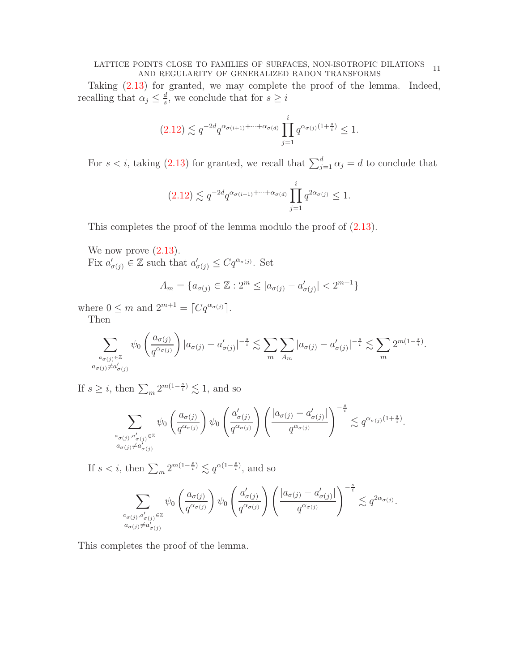# LATTICE POINTS CLOSE TO FAMILIES OF SURFACES, NON-ISOTROPIC DILATIONS 11 AND REGULARITY OF GENERALIZED RADON TRANSFORMS

Taking [\(2.13\)](#page-9-1) for granted, we may complete the proof of the lemma. Indeed, recalling that  $\alpha_j \leq \frac{d}{s}$  $\frac{d}{s}$ , we conclude that for  $s \geq i$ 

$$
(2.12) \lesssim q^{-2d} q^{\alpha_{\sigma(i+1)} + \dots + \alpha_{\sigma(d)}} \prod_{j=1}^i q^{\alpha_{\sigma(j)}(1 + \frac{s}{i})} \le 1.
$$

For  $s < i$ , taking [\(2.13\)](#page-9-1) for granted, we recall that  $\sum_{j=1}^{d} \alpha_j = d$  to conclude that

$$
(2.12) \lesssim q^{-2d} q^{\alpha_{\sigma(i+1)} + \dots + \alpha_{\sigma(d)}} \prod_{j=1}^i q^{2\alpha_{\sigma(j)}} \le 1.
$$

This completes the proof of the lemma modulo the proof of [\(2.13\)](#page-9-1).

We now prove  $(2.13)$ .

Fix  $a'_{\sigma(j)} \in \mathbb{Z}$  such that  $a'_{\sigma(j)} \leq Cq^{\alpha_{\sigma(j)}}$ . Set

$$
A_m = \{a_{\sigma(j)} \in \mathbb{Z} : 2^m \le |a_{\sigma(j)} - a'_{\sigma(j)}| < 2^{m+1}\}
$$

where  $0 \leq m$  and  $2^{m+1} = \lceil Cq^{\alpha_{\sigma(j)}} \rceil$ . Then

$$
\sum_{\substack{a_{\sigma(j)} \in \mathbb{Z} \\ a_{\sigma(j)} \neq a'_{\sigma(j)}}} \psi_0 \left( \frac{a_{\sigma(j)}}{q^{\alpha_{\sigma(j)}}} \right) |a_{\sigma(j)} - a'_{\sigma(j)}|^{-\frac{s}{i}} \lesssim \sum_{m} \sum_{A_m} |a_{\sigma(j)} - a'_{\sigma(j)}|^{-\frac{s}{i}} \lesssim \sum_{m} 2^{m(1-\frac{s}{i})}.
$$

If  $s \geq i$ , then  $\sum_{m} 2^{m(1-\frac{s}{i})} \lesssim 1$ , and so

$$
\sum_{\substack{a_{\sigma(j)},a'_{\sigma(j)}\in\mathbb{Z}\\ a_{\sigma(j)}\neq a'_{\sigma(j)}}} \psi_0\left(\frac{a_{\sigma(j)}}{q^{\alpha_{\sigma(j)}}}\right)\psi_0\left(\frac{a'_{\sigma(j)}}{q^{\alpha_{\sigma(j)}}}\right)\left(\frac{|a_{\sigma(j)}-a'_{\sigma(j)}|}{q^{\alpha_{\sigma(j)}}}\right)^{-\frac{s}{i}}\lesssim q^{\alpha_{\sigma(j)}(1+\frac{s}{i})}.
$$

If  $s < i$ , then  $\sum_{m} 2^{m(1-\frac{s}{i})} \lesssim q^{\alpha(1-\frac{s}{i})}$ , and so

$$
\sum_{\substack{a_{\sigma(j)},a'_{\sigma(j)} \in \mathbb{Z} \\ a_{\sigma(j)} \neq a'_{\sigma(j)}}} \psi_0\left(\frac{a_{\sigma(j)}}{q^{\alpha_{\sigma(j)}}}\right) \psi_0\left(\frac{a'_{\sigma(j)}}{q^{\alpha_{\sigma(j)}}}\right) \left(\frac{|a_{\sigma(j)} - a'_{\sigma(j)}|}{q^{\alpha_{\sigma(j)}}}\right)^{-\frac{s}{i}} \lesssim q^{2\alpha_{\sigma(j)}}.
$$

This completes the proof of the lemma.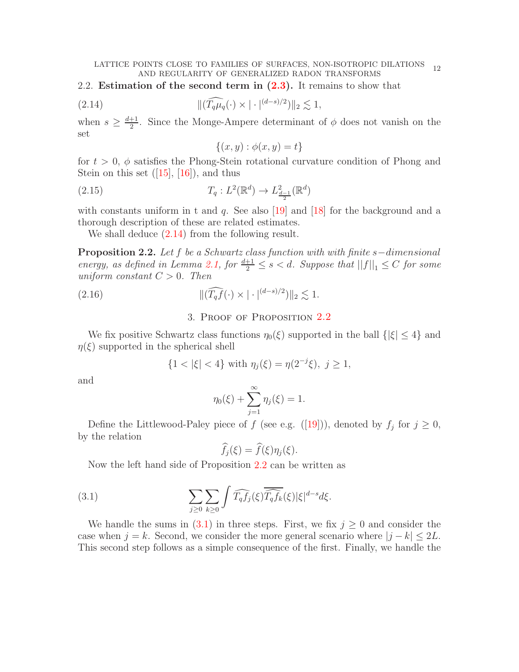<span id="page-11-3"></span>2.2. Estimation of the second term in  $(2.3)$ . It remains to show that

$$
||(\widehat{T_q\mu_q}(\cdot) \times |\cdot|^{(d-s)/2})||_2 \lesssim 1,
$$

when  $s \geq \frac{d+1}{2}$  $\frac{+1}{2}$ . Since the Monge-Ampere determinant of  $\phi$  does not vanish on the set

<span id="page-11-0"></span>
$$
\{(x,y): \phi(x,y) = t\}
$$

for  $t > 0$ ,  $\phi$  satisfies the Phong-Stein rotational curvature condition of Phong and Steinon this set  $([15], [16])$  $([15], [16])$  $([15], [16])$  $([15], [16])$  $([15], [16])$ , and thus

(2.15) 
$$
T_q: L^2(\mathbb{R}^d) \to L^2_{\frac{d-1}{2}}(\mathbb{R}^d)
$$

with constants uniform in t and q. See also [\[19\]](#page-18-19) and [\[18\]](#page-18-20) for the background and a thorough description of these are related estimates.

We shall deduce  $(2.14)$  from the following result.

<span id="page-11-1"></span>Proposition 2.2. Let f be a Schwartz class function with with finite s−dimensional energy, as defined in Lemma [2.1,](#page-5-2) for  $\frac{d+1}{2} \leq s < d$ . Suppose that  $||f||_1 \leq C$  for some uniform constant  $C > 0$ . Then

(2.16) 
$$
\|(\widehat{T_q f}(\cdot) \times |\cdot|^{(d-s)/2})\|_2 \lesssim 1.
$$

## 3. Proof of Proposition [2.2](#page-11-1)

We fix positive Schwartz class functions  $\eta_0(\xi)$  supported in the ball  $\{|\xi| \leq 4\}$  and  $\eta(\xi)$  supported in the spherical shell

$$
\{1 < |\xi| < 4\} \text{ with } \eta_j(\xi) = \eta(2^{-j}\xi), \ j \ge 1,
$$

and

$$
\eta_0(\xi) + \sum_{j=1}^{\infty} \eta_j(\xi) = 1.
$$

Definethe Littlewood-Paley piece of f (see e.g.  $([19])$  $([19])$  $([19])$ ), denoted by  $f_j$  for  $j \geq 0$ , by the relation

<span id="page-11-2"></span>
$$
\widehat{f}_j(\xi) = \widehat{f}(\xi)\eta_j(\xi).
$$

Now the left hand side of Proposition [2.2](#page-11-1) can be written as

(3.1) 
$$
\sum_{j\geq 0} \sum_{k\geq 0} \int \widehat{T_q f_j}(\xi) \overline{\widehat{T_q f_k}}(\xi) |\xi|^{d-s} d\xi.
$$

We handle the sums in  $(3.1)$  in three steps. First, we fix  $j \geq 0$  and consider the case when  $j = k$ . Second, we consider the more general scenario where  $|j - k| \leq 2L$ . This second step follows as a simple consequence of the first. Finally, we handle the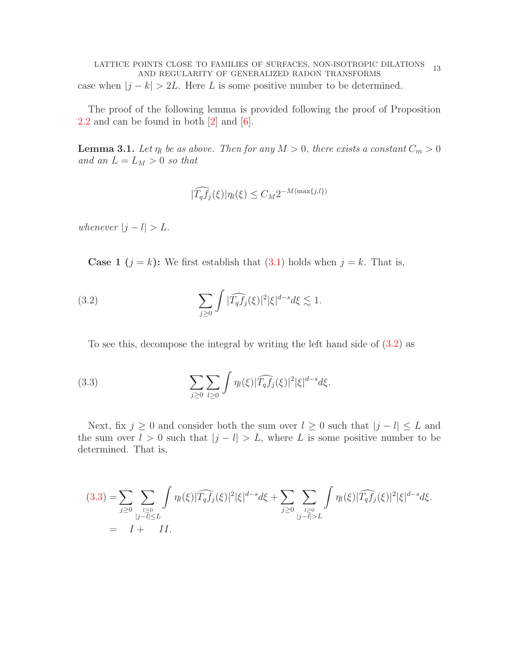<span id="page-12-3"></span>LATTICE POINTS CLOSE TO FAMILIES OF SURFACES, NON-ISOTROPIC DILATIONS OINTS CLOSE TO FAMILIES OF SURFACES, NON-ISOTROPIC DILATIONS 13<br>AND REGULARITY OF GENERALIZED RADON TRANSFORMS case when  $|j - k| > 2L$ . Here L is some positive number to be determined.

The proof of the following lemma is provided following the proof of Proposition [2.2](#page-11-1) and can be found in both [\[2\]](#page-18-16) and [\[6\]](#page-18-15).

<span id="page-12-2"></span>**Lemma 3.1.** Let  $\eta_l$  be as above. Then for any  $M > 0$ , there exists a constant  $C_m > 0$ and an  $L = L_M > 0$  so that

<span id="page-12-0"></span>
$$
|\widehat{T_qf_j}(\xi)|\eta_l(\xi) \le C_M 2^{-M(\max\{j,l\})}
$$

whenever  $|j - l| > L$ .

**Case 1** ( $j = k$ ): We first establish that [\(3.1\)](#page-11-2) holds when  $j = k$ . That is,

(3.2) 
$$
\sum_{j\geq 0} \int |\widehat{T_q f_j}(\xi)|^2 |\xi|^{d-s} d\xi \lesssim 1.
$$

<span id="page-12-1"></span>To see this, decompose the integral by writing the left hand side of [\(3.2\)](#page-12-0) as

(3.3) 
$$
\sum_{j\geq 0}\sum_{l\geq 0}\int \eta_l(\xi)|\widehat{T_qf_j}(\xi)|^2|\xi|^{d-s}d\xi.
$$

Next, fix  $j \geq 0$  and consider both the sum over  $l \geq 0$  such that  $|j - l| \leq L$  and the sum over  $l > 0$  such that  $|j - l| > L$ , where L is some positive number to be determined. That is,

$$
(3.3) = \sum_{j\geq 0} \sum_{\substack{l\geq 0 \\ |j-l|\leq L}} \int \eta_l(\xi) |\widehat{T_q f_j}(\xi)|^2 |\xi|^{d-s} d\xi + \sum_{j\geq 0} \sum_{\substack{l\geq 0 \\ |j-l|>L}} \int \eta_l(\xi) |\widehat{T_q f_j}(\xi)|^2 |\xi|^{d-s} d\xi.
$$
  
=  $I + II.$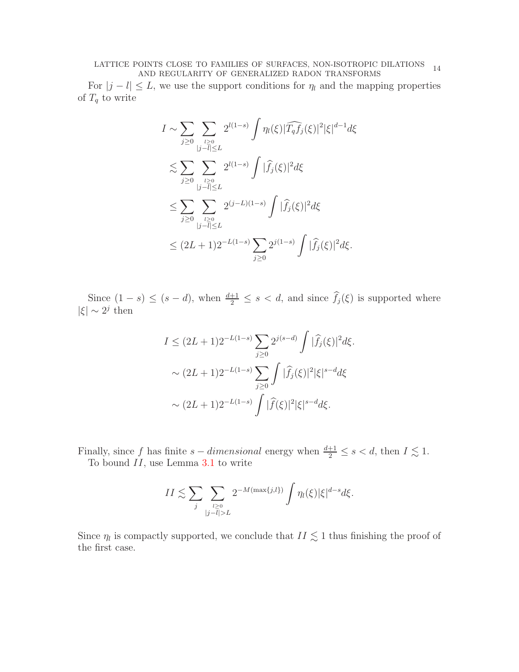## $\rm \textit{LATTICE}~~POINTS~\textit{CLOSE}~\textit{TO}~\textit{FAMILIES}~\textit{OF}~\textit{SURFACES},~\textit{NON-ISOTROPIC}~\textit{DILATIONS} \quad 14 \\ \textit{AND}~\textit{REGULARITY}~\textit{OF}~\textit{GENERALIZED}~\textit{RADON}~\textit{TRANSFORMS}$

For  $|j - l| \leq L$ , we use the support conditions for  $\eta_l$  and the mapping properties of  $T_q$  to write

$$
I \sim \sum_{j\geq 0} \sum_{\substack{l\geq 0 \\ |j-l|\leq L}} 2^{l(1-s)} \int \eta_l(\xi) |\widehat{T_q f_j}(\xi)|^2 |\xi|^{d-1} d\xi
$$
  

$$
\lesssim \sum_{j\geq 0} \sum_{\substack{l\geq 0 \\ |j-l|\leq L}} 2^{l(1-s)} \int |\widehat{f}_j(\xi)|^2 d\xi
$$
  

$$
\leq \sum_{j\geq 0} \sum_{\substack{l\geq 0 \\ |j-l|\leq L}} 2^{(j-L)(1-s)} \int |\widehat{f}_j(\xi)|^2 d\xi
$$
  

$$
\leq (2L+1)2^{-L(1-s)} \sum_{j\geq 0} 2^{j(1-s)} \int |\widehat{f}_j(\xi)|^2 d\xi.
$$

Since  $(1-s) \le (s-d)$ , when  $\frac{d+1}{2} \le s < d$ , and since  $f_j(\xi)$  is supported where | $\xi$ | ∼ 2<sup>j</sup> then

$$
I \leq (2L+1)2^{-L(1-s)} \sum_{j\geq 0} 2^{j(s-d)} \int |\widehat{f}_j(\xi)|^2 d\xi.
$$
  
 
$$
\sim (2L+1)2^{-L(1-s)} \sum_{j\geq 0} \int |\widehat{f}_j(\xi)|^2 |\xi|^{s-d} d\xi
$$
  
 
$$
\sim (2L+1)2^{-L(1-s)} \int |\widehat{f}(\xi)|^2 |\xi|^{s-d} d\xi.
$$

Finally, since f has finite  $s$  – dimensional energy when  $\frac{d+1}{2} \leq s < d$ , then  $I \lesssim 1$ . To bound  $II$ , use Lemma [3.1](#page-12-2) to write

$$
II \lesssim \sum_{j} \sum_{\substack{l \geq 0 \\ |j - \overline{l}| > L}} 2^{-M(\max\{j,l\})} \int \eta_l(\xi) |\xi|^{d - s} d\xi.
$$

Since  $\eta_l$  is compactly supported, we conclude that  $II \lesssim 1$  thus finishing the proof of the first case.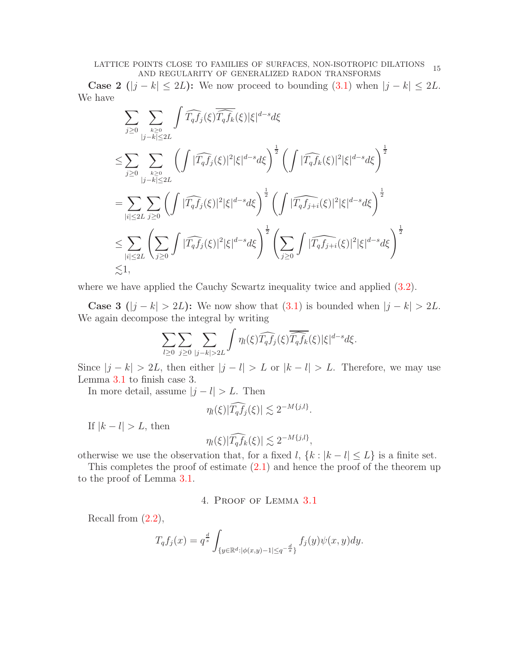Case 2 ( $|j - k|$  ≤ 2L): We now proceed to bounding [\(3.1\)](#page-11-2) when  $|j - k|$  ≤ 2L. We have

$$
\sum_{j\geq 0}\sum_{\substack{k\geq 0\\|j-k|\leq 2L}}\int \widehat{T_qf_j}(\xi)\overline{\widehat{T_qf_k}}(\xi)|\xi|^{d-s}d\xi
$$
\n
$$
\leq \sum_{j\geq 0}\sum_{\substack{k\geq 0\\|j-k|\leq 2L}}\left(\int |\widehat{T_qf_j}(\xi)|^2|\xi|^{d-s}d\xi\right)^{\frac{1}{2}}\left(\int |\widehat{T_qf_k}(\xi)|^2|\xi|^{d-s}d\xi\right)^{\frac{1}{2}}
$$
\n
$$
=\sum_{|i|\leq 2L}\sum_{j\geq 0}\left(\int |\widehat{T_qf_j}(\xi)|^2|\xi|^{d-s}d\xi\right)^{\frac{1}{2}}\left(\int |\widehat{T_qf_{j+i}}(\xi)|^2|\xi|^{d-s}d\xi\right)^{\frac{1}{2}}
$$
\n
$$
\leq \sum_{|i|\leq 2L}\left(\sum_{j\geq 0}\int |\widehat{T_qf_j}(\xi)|^2|\xi|^{d-s}d\xi\right)^{\frac{1}{2}}\left(\sum_{j\geq 0}\int |\widehat{T_qf_{j+i}}(\xi)|^2|\xi|^{d-s}d\xi\right)^{\frac{1}{2}}
$$
\n
$$
\lesssim 1,
$$

where we have applied the Cauchy Scwartz inequality twice and applied  $(3.2)$ .

Case 3 ( $|j - k| > 2L$ ): We now show that [\(3.1\)](#page-11-2) is bounded when  $|j - k| > 2L$ . We again decompose the integral by writing

$$
\sum_{l\geq 0}\sum_{j\geq 0}\sum_{|j-k|>2L}\int\eta_l(\xi)\widehat{T_qf_j}(\xi)\overline{\widehat{T_qf_k}}(\xi)|\xi|^{d-s}d\xi.
$$

Since  $|j - k| > 2L$ , then either  $|j - l| > L$  or  $|k - l| > L$ . Therefore, we may use Lemma [3.1](#page-12-2) to finish case 3.

In more detail, assume  $|j - l| > L$ . Then

$$
\eta_l(\xi)|\widehat{T_qf_j}(\xi)| \lesssim 2^{-M\{j,l\}}.
$$

If  $|k - l| > L$ , then

$$
\eta_l(\xi)|\widehat{T_qf_k}(\xi)| \lesssim 2^{-M\{j,l\}},
$$

otherwise we use the observation that, for a fixed l,  $\{k : |k - l| \leq L\}$  is a finite set.

This completes the proof of estimate  $(2.1)$  and hence the proof of the theorem up to the proof of Lemma [3.1.](#page-12-2)

## 4. Proof of Lemma [3.1](#page-11-2)

Recall from  $(2.2)$ ,

$$
T_q f_j(x) = q^{\frac{d}{s}} \int_{\{y \in \mathbb{R}^d : |\phi(x,y)-1| \le q^{-\frac{d}{s}}\}} f_j(y) \psi(x,y) dy.
$$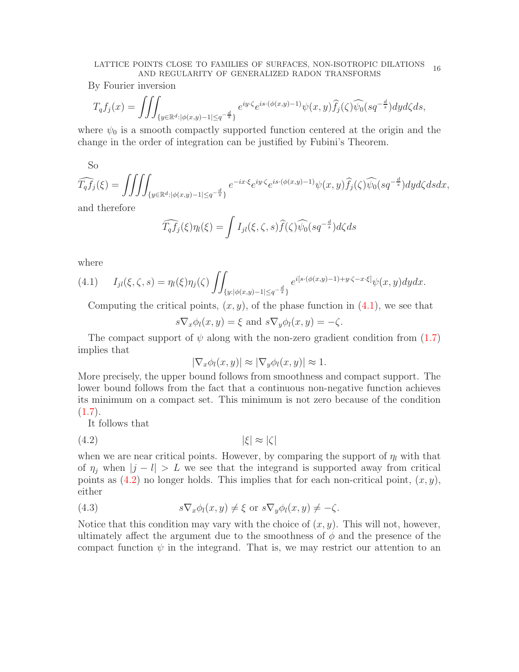#### LATTICE POINTS CLOSE TO FAMILIES OF SURFACES, NON-ISOTROPIC DILATIONS OINTS CLOSE TO FAMILIES OF SURFACES, NON-ISOTROPIC DILATIONS 16<br>AND REGULARITY OF GENERALIZED RADON TRANSFORMS

By Fourier inversion

$$
T_q f_j(x) = \iiint_{\{y \in \mathbb{R}^d : |\phi(x,y)-1| \le q^{-\frac{d}{s}}\}} e^{iy \cdot \zeta} e^{is \cdot (\phi(x,y)-1)} \psi(x,y) \widehat{f}_j(\zeta) \widehat{\psi}_0(sq^{-\frac{d}{s}}) dy d\zeta ds,
$$

where  $\psi_0$  is a smooth compactly supported function centered at the origin and the change in the order of integration can be justified by Fubini's Theorem.

So

$$
\widehat{T_qf_j}(\xi) = \iiint_{\{y \in \mathbb{R}^d : |\phi(x,y)-1| \le q^{-\frac{d}{s}}\}} e^{-ix\cdot\xi} e^{iy\cdot\zeta} e^{is\cdot(\phi(x,y)-1)} \psi(x,y) \widehat{f_j}(\zeta) \widehat{\psi_0}(sq^{-\frac{d}{s}}) dy d\zeta ds dx,
$$

and therefore

$$
\widehat{T_q f_j}(\xi)\eta_l(\xi) = \int I_{jl}(\xi,\zeta,s)\widehat{f}(\zeta)\widehat{\psi_0}(sq^{-\frac{d}{s}})d\zeta ds
$$

where

<span id="page-15-0"></span>
$$
(4.1) \qquad I_{jl}(\xi,\zeta,s) = \eta_l(\xi)\eta_j(\zeta)\iint_{\{y:|\phi(x,y)-1|\leq q^{-\frac{d}{s}}\}} e^{i[s\cdot(\phi(x,y)-1)+y\cdot\zeta-x\cdot\xi]}\psi(x,y)dydx.
$$

Computing the critical points,  $(x, y)$ , of the phase function in  $(4.1)$ , we see that

$$
s\nabla_x \phi_l(x, y) = \xi \text{ and } s\nabla_y \phi_l(x, y) = -\zeta.
$$

The compact support of  $\psi$  along with the non-zero gradient condition from [\(1.7\)](#page-2-3) implies that

<span id="page-15-1"></span>
$$
|\nabla_x \phi_l(x, y)| \approx |\nabla_y \phi_l(x, y)| \approx 1.
$$

More precisely, the upper bound follows from smoothness and compact support. The lower bound follows from the fact that a continuous non-negative function achieves its minimum on a compact set. This minimum is not zero because of the condition  $(1.7).$  $(1.7).$ 

It follows that

$$
|\xi| \approx |\zeta|
$$

when we are near critical points. However, by comparing the support of  $\eta_l$  with that of  $\eta_i$  when  $|j - l| > L$  we see that the integrand is supported away from critical points as  $(4.2)$  no longer holds. This implies that for each non-critical point,  $(x, y)$ , either

<span id="page-15-2"></span>(4.3) 
$$
s \nabla_x \phi_l(x, y) \neq \xi \text{ or } s \nabla_y \phi_l(x, y) \neq -\zeta.
$$

Notice that this condition may vary with the choice of  $(x, y)$ . This will not, however, ultimately affect the argument due to the smoothness of  $\phi$  and the presence of the compact function  $\psi$  in the integrand. That is, we may restrict our attention to an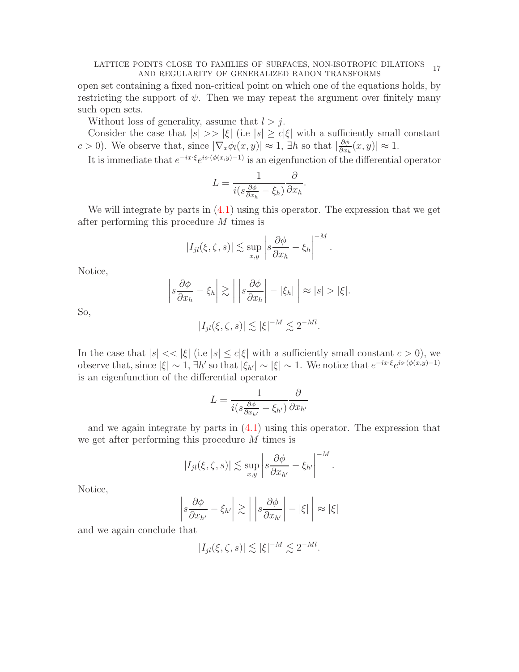### LATTICE POINTS CLOSE TO FAMILIES OF SURFACES, NON-ISOTROPIC DILATIONS OINTS CLOSE TO FAMILIES OF SURFACES, NON-ISOTROPIC DILATIONS 17<br>AND REGULARITY OF GENERALIZED RADON TRANSFORMS

open set containing a fixed non-critical point on which one of the equations holds, by restricting the support of  $\psi$ . Then we may repeat the argument over finitely many such open sets.

Without loss of generality, assume that  $l > j$ .

Consider the case that  $|s| \gg |\xi|$  (i.e  $|s| \ge c|\xi|$  with a sufficiently small constant c > 0). We observe that, since  $|\nabla_x \phi_l(x, y)| \approx 1$ ,  $\exists h$  so that  $|\frac{\partial \phi}{\partial x_i}|$  $\frac{\partial \phi}{\partial x_h}(x, y) \leq 1.$ 

It is immediate that  $e^{-ix\cdot\xi}e^{is\cdot(\phi(x,y)-1)}$  is an eigenfunction of the differential operator

$$
L = \frac{1}{i(s\frac{\partial \phi}{\partial x_h} - \xi_h)} \frac{\partial}{\partial x_h}.
$$

We will integrate by parts in [\(4.1\)](#page-15-0) using this operator. The expression that we get after performing this procedure M times is

$$
|I_{jl}(\xi,\zeta,s)| \lesssim \sup_{x,y} \left| s \frac{\partial \phi}{\partial x_h} - \xi_h \right|^{-M}.
$$

Notice,

$$
\left| s \frac{\partial \phi}{\partial x_h} - \xi_h \right| \gtrsim \left| \left| s \frac{\partial \phi}{\partial x_h} \right| - |\xi_h| \right| \approx |s| > |\xi|.
$$

So,

$$
|I_{jl}(\xi,\zeta,s)| \lesssim |\xi|^{-M} \lesssim 2^{-Ml}.
$$

In the case that  $|s| \ll |\xi|$  (i.e  $|s| \leq c|\xi|$  with a sufficiently small constant  $c > 0$ ), we observe that, since  $|\xi| \sim 1$ ,  $\exists h'$  so that  $|\xi_{h'}| \sim |\xi| \sim 1$ . We notice that  $e^{-ix\cdot\xi}e^{is\cdot(\phi(x,y)-1)}$ is an eigenfunction of the differential operator

$$
L = \frac{1}{i(s\frac{\partial\phi}{\partial x_{h'}} - \xi_{h'})}\frac{\partial}{\partial x_{h'}}
$$

and we again integrate by parts in [\(4.1\)](#page-15-0) using this operator. The expression that we get after performing this procedure M times is

$$
|I_{jl}(\xi,\zeta,s)| \lesssim \sup_{x,y} \left| s \frac{\partial \phi}{\partial x_{h'}} - \xi_{h'} \right|^{-M}.
$$

Notice,

$$
\left| s \frac{\partial \phi}{\partial x_{h'}} - \xi_{h'} \right| \gtrsim \left| \left| s \frac{\partial \phi}{\partial x_{h'}} \right| - |\xi| \right| \approx |\xi|
$$

and we again conclude that

$$
|I_{jl}(\xi,\zeta,s)| \lesssim |\xi|^{-M} \lesssim 2^{-Ml}.
$$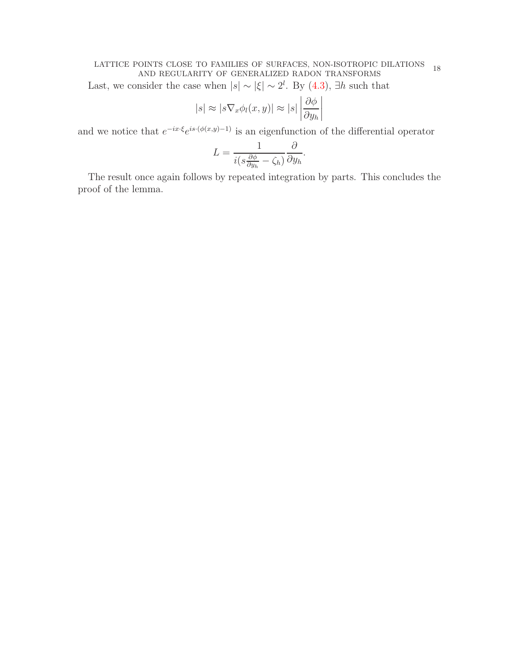# LATTICE POINTS CLOSE TO FAMILIES OF SURFACES, NON-ISOTROPIC DILATIONS 18 AND REGULARITY OF GENERALIZED RADON TRANSFORMS

Last, we consider the case when  $|s| \sim |\xi| \sim 2^l$ . By  $(4.3)$ ,  $\exists h$  such that

$$
|s| \approx |s\nabla_x \phi_l(x, y)| \approx |s| \left| \frac{\partial \phi}{\partial y_h} \right|
$$

and we notice that  $e^{-ix\cdot\xi}e^{is\cdot(\phi(x,y)-1)}$  is an eigenfunction of the differential operator

$$
L = \frac{1}{i(s\frac{\partial \phi}{\partial y_h} - \zeta_h)} \frac{\partial}{\partial y_h}.
$$

The result once again follows by repeated integration by parts. This concludes the proof of the lemma.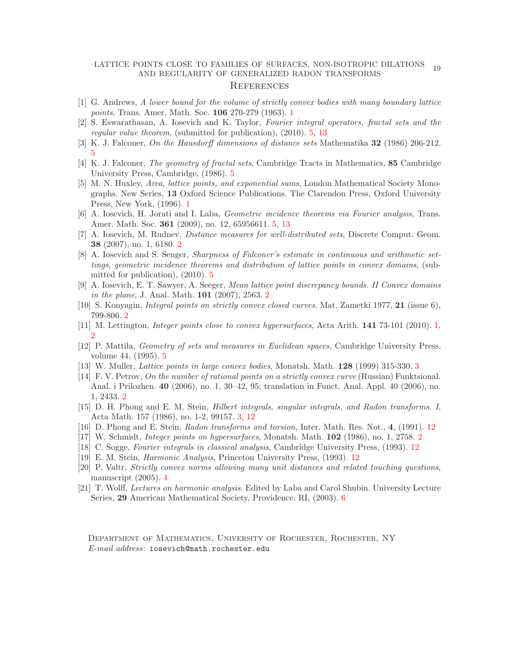### LATTICE POINTS CLOSE TO FAMILIES OF SURFACES, NON-ISOTROPIC DILATIONS OINTS CLOSE TO FAMILIES OF SURFACES, NON-ISOTROPIC DILATIONS 19<br>AND REGULARITY OF GENERALIZED RADON TRANSFORMS **REFERENCES**

- <span id="page-18-1"></span>[1] G. Andrews, A lower bound for the volume of strictly convex bodies with many boundary lattice points, Trans. Amer. Math. Soc. 106 270-279 (1963). [1](#page-0-1)
- <span id="page-18-16"></span><span id="page-18-12"></span>[2] S. Eswarathasan, A. Iosevich and K. Taylor, Fourier integral operators, fractal sets and the regular value theorem, (submitted for publication), (2010). [5,](#page-4-1) [13](#page-12-3)
- <span id="page-18-13"></span>[3] K. J. Falconer, On the Hausdorff dimensions of distance sets Mathematika 32 (1986) 206-212. [5](#page-4-1)
- [4] K. J. Falconer, The geometry of fractal sets, Cambridge Tracts in Mathematics, 85 Cambridge University Press, Cambridge, (1986). [5](#page-4-1)
- <span id="page-18-2"></span>[5] M. N. Huxley, Area, lattice points, and exponential sums, London Mathematical Society Monographs. New Series, 13 Oxford Science Publications. The Clarendon Press, Oxford University Press, New York, (1996). [1](#page-0-1)
- <span id="page-18-15"></span>[6] A. Iosevich, H. Jorati and I. Laba, Geometric incidence theorems via Fourier analysis, Trans. Amer. Math. Soc. 361 (2009), no. 12, 65956611. [5,](#page-4-1) [13](#page-12-3)
- <span id="page-18-6"></span>[7] A. Iosevich, M. Rudnev, Distance measures for well-distributed sets, Discrete Comput. Geom. 38 (2007), no. 1, 6180. [2](#page-1-5)
- <span id="page-18-11"></span>[8] A. Iosevich and S. Senger, Sharpness of Falconer's estimate in continuous and arithmetic settings, geometric incidence theorems and distribution of lattice points in convex domains, (submitted for publication), (2010). [5](#page-4-1)
- <span id="page-18-4"></span>[9] A. Iosevich, E. T. Sawyer, A. Seeger, Mean lattice point discrepancy bounds. II Convex domains *in the plane, J.* Anal. Math.  $101$  ([2](#page-1-5)007), 2563. 2
- <span id="page-18-7"></span><span id="page-18-0"></span>[10] S. Konyagin, Integral points on strictly convex closed curves. Mat. Zametki 1977, 21 (issue 6), 799-806. [2](#page-1-5)
- <span id="page-18-14"></span>[11] M. Lettington, *Integer points close to convex hypersurfaces*, Acta Arith. **141** 73-101 (2010). [1,](#page-0-1) [2](#page-1-5)
- [12] P. Mattila, Geometry of sets and measures in Euclidean spaces, Cambridge University Press, volume 44, (1995). [5](#page-4-1)
- <span id="page-18-8"></span><span id="page-18-3"></span>[13] W. Muller, Lattice points in large convex bodies, Monatsh. Math. 128 (1999) 315-330. [3](#page-2-4)
- [14] F. V. Petrov, On the number of rational points on a strictly convex curve (Russian) Funktsional. Anal. i Prilozhen. 40 (2006), no. 1, 30–42, 95; translation in Funct. Anal. Appl. 40 (2006), no. 1, 2433. [2](#page-1-5)
- <span id="page-18-9"></span>[15] D. H. Phong and E. M. Stein, Hilbert integrals, singular integrals, and Radon transforms. I, Acta Math. 157 (1986), no. 1-2, 99157. [3,](#page-2-4) [12](#page-11-3)
- <span id="page-18-18"></span><span id="page-18-5"></span>[16] D. Phong and E. Stein, Radon transforms and torsion, Inter. Math. Res. Not., 4, (1991). [12](#page-11-3)
- <span id="page-18-20"></span>[17] W. Schmidt, Integer points on hypersurfaces, Monatsh. Math. 102 (1986), no. 1, 2758. [2](#page-1-5)
- <span id="page-18-19"></span>[18] C. Sogge, Fourier integrals in classical analysis, Cambridge University Press, (1993). [12](#page-11-3)
- <span id="page-18-10"></span>[19] E. M. Stein, Harmonic Analysis, Princeton University Press, (1993). [12](#page-11-3)
- [20] P. Valtr, Strictly convex norms allowing many unit distances and related touching questions, manuscript (2005). [4](#page-3-2)
- <span id="page-18-17"></span>[21] T. Wolff, Lectures on harmonic analysis. Edited by Laba and Carol Shubin. University Lecture Series, 29 American Mathematical Society, Providence, RI, (2003). [6](#page-5-4)

Department of Mathematics, University of Rochester, Rochester, NY E-mail address: iosevich@math.rochester.edu